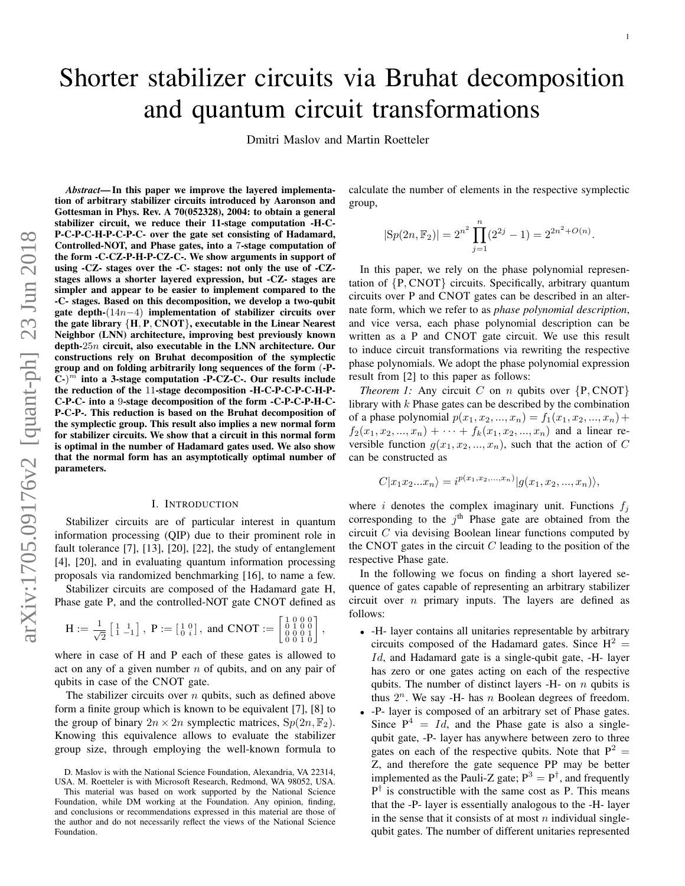# Shorter stabilizer circuits via Bruhat decomposition and quantum circuit transformations

Dmitri Maslov and Martin Roetteler

*Abstract*— In this paper we improve the layered implementation of arbitrary stabilizer circuits introduced by Aaronson and Gottesman in Phys. Rev. A 70(052328), 2004: to obtain a general stabilizer circuit, we reduce their 11-stage computation -H-C-P-C-P-C-H-P-C-P-C- over the gate set consisting of Hadamard, Controlled-NOT, and Phase gates, into a 7-stage computation of the form -C-CZ-P-H-P-CZ-C-. We show arguments in support of using -CZ- stages over the -C- stages: not only the use of -CZstages allows a shorter layered expression, but -CZ- stages are simpler and appear to be easier to implement compared to the -C- stages. Based on this decomposition, we develop a two-qubit gate depth-(14n−4) implementation of stabilizer circuits over the gate library  ${H, P, CNOT}$ , executable in the Linear Nearest Neighbor (LNN) architecture, improving best previously known depth-25n circuit, also executable in the LNN architecture. Our constructions rely on Bruhat decomposition of the symplectic group and on folding arbitrarily long sequences of the form (-P- $\widetilde{C}$ -)<sup>*m*</sup> into a 3-stage computation -P-CZ-C-. Our results include the reduction of the 11-stage decomposition -H-C-P-C-P-C-H-P-C-P-C- into a 9-stage decomposition of the form -C-P-C-P-H-C-P-C-P-. This reduction is based on the Bruhat decomposition of the symplectic group. This result also implies a new normal form for stabilizer circuits. We show that a circuit in this normal form is optimal in the number of Hadamard gates used. We also show that the normal form has an asymptotically optimal number of parameters.

### I. INTRODUCTION

Stabilizer circuits are of particular interest in quantum information processing (QIP) due to their prominent role in fault tolerance [7], [13], [20], [22], the study of entanglement [4], [20], and in evaluating quantum information processing proposals via randomized benchmarking [16], to name a few.

Stabilizer circuits are composed of the Hadamard gate H, Phase gate P, and the controlled-NOT gate CNOT defined as

$$
H := \frac{1}{\sqrt{2}} \begin{bmatrix} 1 & 1 \\ 1 & -1 \end{bmatrix}, \ P := \begin{bmatrix} 1 & 0 \\ 0 & i \end{bmatrix}, \text{ and CNOT} := \begin{bmatrix} 1 & 0 & 0 & 0 \\ 0 & 1 & 0 & 0 \\ 0 & 0 & 0 & 1 \\ 0 & 0 & 1 & 0 \end{bmatrix},
$$

where in case of H and P each of these gates is allowed to act on any of a given number  $n$  of qubits, and on any pair of qubits in case of the CNOT gate.

The stabilizer circuits over  $n$  qubits, such as defined above form a finite group which is known to be equivalent [7], [8] to the group of binary  $2n \times 2n$  symplectic matrices,  $Sp(2n, \mathbb{F}_2)$ . Knowing this equivalence allows to evaluate the stabilizer group size, through employing the well-known formula to calculate the number of elements in the respective symplectic group,

$$
|Sp(2n, \mathbb{F}_2)| = 2^{n^2} \prod_{j=1}^n (2^{2j} - 1) = 2^{2n^2 + O(n)}.
$$

In this paper, we rely on the phase polynomial representation of {P, CNOT} circuits. Specifically, arbitrary quantum circuits over P and CNOT gates can be described in an alternate form, which we refer to as *phase polynomial description*, and vice versa, each phase polynomial description can be written as a P and CNOT gate circuit. We use this result to induce circuit transformations via rewriting the respective phase polynomials. We adopt the phase polynomial expression result from [2] to this paper as follows:

<span id="page-0-0"></span>*Theorem 1:* Any circuit  $C$  on  $n$  qubits over  $\{P, \text{CNOT}\}$ library with  $k$  Phase gates can be described by the combination of a phase polynomial  $p(x_1, x_2, ..., x_n) = f_1(x_1, x_2, ..., x_n) +$  $f_2(x_1, x_2, ..., x_n) + \cdots + f_k(x_1, x_2, ..., x_n)$  and a linear reversible function  $g(x_1, x_2, ..., x_n)$ , such that the action of C can be constructed as

$$
C|x_1x_2...x_n\rangle = i^{p(x_1,x_2,...,x_n)}|g(x_1,x_2,...,x_n)\rangle,
$$

where i denotes the complex imaginary unit. Functions  $f_i$ corresponding to the  $j<sup>th</sup>$  Phase gate are obtained from the circuit  $C$  via devising Boolean linear functions computed by the CNOT gates in the circuit  $C$  leading to the position of the respective Phase gate.

In the following we focus on finding a short layered sequence of gates capable of representing an arbitrary stabilizer circuit over  $n$  primary inputs. The layers are defined as follows:

- -H- layer contains all unitaries representable by arbitrary circuits composed of the Hadamard gates. Since  $H^2 =$ Id, and Hadamard gate is a single-qubit gate, -H- layer has zero or one gates acting on each of the respective qubits. The number of distinct layers  $-H-$  on n qubits is thus  $2^n$ . We say -H- has n Boolean degrees of freedom.
- -P- layer is composed of an arbitrary set of Phase gates. Since  $P^4 = Id$ , and the Phase gate is also a singlequbit gate, -P- layer has anywhere between zero to three gates on each of the respective qubits. Note that  $P^2 =$ Z, and therefore the gate sequence PP may be better implemented as the Pauli-Z gate;  $P^3 = P^{\dagger}$ , and frequently  $P^{\dagger}$  is constructible with the same cost as P. This means that the -P- layer is essentially analogous to the -H- layer in the sense that it consists of at most  $n$  individual singlequbit gates. The number of different unitaries represented

D. Maslov is with the National Science Foundation, Alexandria, VA 22314, USA. M. Roetteler is with Microsoft Research, Redmond, WA 98052, USA.

This material was based on work supported by the National Science Foundation, while DM working at the Foundation. Any opinion, finding, and conclusions or recommendations expressed in this material are those of the author and do not necessarily reflect the views of the National Science Foundation.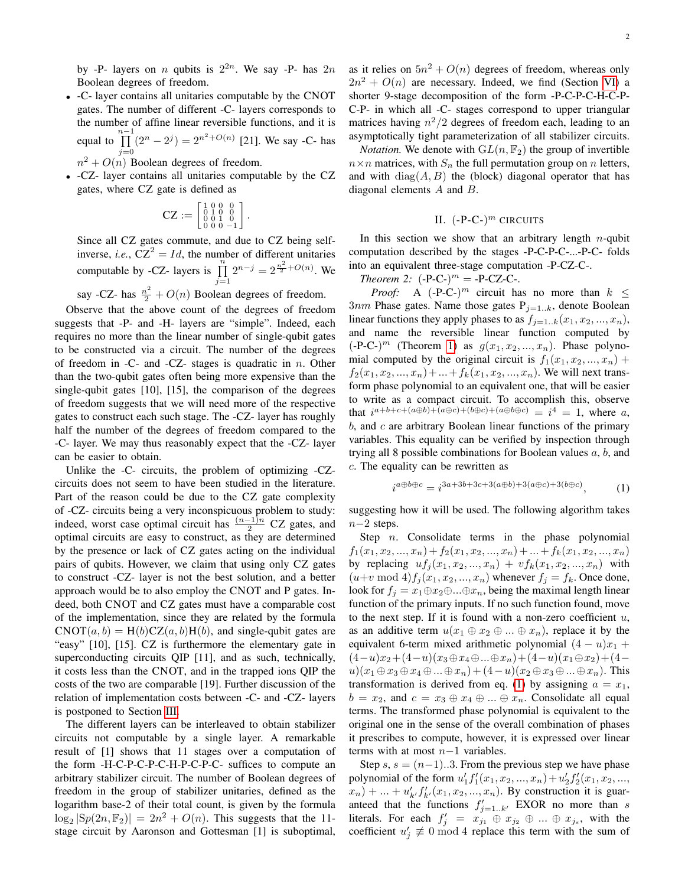by -P- layers on *n* qubits is  $2^{2n}$ . We say -P- has  $2n$ Boolean degrees of freedom.

- -C- layer contains all unitaries computable by the CNOT gates. The number of different -C- layers corresponds to the number of affine linear reversible functions, and it is equal to  $\prod^{n-1}$  $j=0$  $(2^{n} - 2^{j}) = 2^{n^{2} + O(n)}$  [21]. We say -C- has
	- $n^2 + O(n)$  Boolean degrees of freedom.
- -CZ- layer contains all unitaries computable by the CZ gates, where CZ gate is defined as

$$
\text{CZ} := \left[ \begin{smallmatrix} 1 & 0 & 0 & 0 \\ 0 & 1 & 0 & 0 \\ 0 & 0 & 1 & 0 \\ 0 & 0 & 0 & -1 \end{smallmatrix} \right]
$$

.

Since all CZ gates commute, and due to CZ being selfinverse, *i.e.*,  $CZ^2 = Id$ , the number of different unitaries computable by -CZ- layers is  $\prod_{j=1}^{n}$  $2^{n-j} = 2^{\frac{n^2}{2} + O(n)}$ . We

say -CZ- has  $\frac{n^2}{2} + O(n)$  Boolean degrees of freedom.

Observe that the above count of the degrees of freedom suggests that -P- and -H- layers are "simple". Indeed, each requires no more than the linear number of single-qubit gates to be constructed via a circuit. The number of the degrees of freedom in -C- and -CZ- stages is quadratic in  $n$ . Other than the two-qubit gates often being more expensive than the single-qubit gates [10], [15], the comparison of the degrees of freedom suggests that we will need more of the respective gates to construct each such stage. The -CZ- layer has roughly half the number of the degrees of freedom compared to the -C- layer. We may thus reasonably expect that the -CZ- layer can be easier to obtain.

Unlike the -C- circuits, the problem of optimizing -CZcircuits does not seem to have been studied in the literature. Part of the reason could be due to the CZ gate complexity of -CZ- circuits being a very inconspicuous problem to study: indeed, worst case optimal circuit has  $\frac{(n-1)n}{2}$  CZ gates, and optimal circuits are easy to construct, as they are determined by the presence or lack of CZ gates acting on the individual pairs of qubits. However, we claim that using only CZ gates to construct -CZ- layer is not the best solution, and a better approach would be to also employ the CNOT and P gates. Indeed, both CNOT and CZ gates must have a comparable cost of the implementation, since they are related by the formula  $CNOT(a, b) = H(b)CZ(a, b)H(b)$ , and single-qubit gates are "easy" [10], [15]. CZ is furthermore the elementary gate in superconducting circuits QIP [11], and as such, technically, it costs less than the CNOT, and in the trapped ions QIP the costs of the two are comparable [19]. Further discussion of the relation of implementation costs between -C- and -CZ- layers is postponed to Section [III.](#page-2-0)

The different layers can be interleaved to obtain stabilizer circuits not computable by a single layer. A remarkable result of [1] shows that 11 stages over a computation of the form -H-C-P-C-P-C-H-P-C-P-C- suffices to compute an arbitrary stabilizer circuit. The number of Boolean degrees of freedom in the group of stabilizer unitaries, defined as the logarithm base-2 of their total count, is given by the formula  $\log_2 |\text{Sp}(2n, \mathbb{F}_2)| = 2n^2 + O(n)$ . This suggests that the 11stage circuit by Aaronson and Gottesman [1] is suboptimal,

as it relies on  $5n^2 + O(n)$  degrees of freedom, whereas only  $2n^2 + O(n)$  are necessary. Indeed, we find (Section [VI\)](#page-6-0) a shorter 9-stage decomposition of the form -P-C-P-C-H-C-P-C-P- in which all -C- stages correspond to upper triangular matrices having  $n^2/2$  degrees of freedom each, leading to an asymptotically tight parameterization of all stabilizer circuits.

*Notation.* We denote with  $GL(n, \mathbb{F}_2)$  the group of invertible  $n \times n$  matrices, with  $S_n$  the full permutation group on n letters, and with  $diag(A, B)$  the (block) diagonal operator that has diagonal elements  $A$  and  $B$ .

# II.  $(-P-C-)$ <sup>m</sup> CIRCUITS

In this section we show that an arbitrary length  $n$ -qubit computation described by the stages -P-C-P-C-...-P-C- folds into an equivalent three-stage computation -P-CZ-C-.

<span id="page-1-1"></span>*Theorem 2:*  $(-P-C^{-})^m = -P-CZ-C^{-}$ .

*Proof:* A  $(-P-C)^m$  circuit has no more than  $k \leq$  $3nm$  Phase gates. Name those gates  $P_{j=1..k}$ , denote Boolean linear functions they apply phases to as  $f_{j=1..k}(x_1, x_2, ..., x_n)$ , and name the reversible linear function computed by  $(-P-C)^m$  (Theorem [1\)](#page-0-0) as  $g(x_1, x_2, ..., x_n)$ . Phase polynomial computed by the original circuit is  $f_1(x_1, x_2, ..., x_n)$  +  $f_2(x_1, x_2, ..., x_n) + ... + f_k(x_1, x_2, ..., x_n)$ . We will next transform phase polynomial to an equivalent one, that will be easier to write as a compact circuit. To accomplish this, observe that  $i^{a+b+c+(a\oplus b)+(a\oplus c)+(b\oplus c)+(a\oplus b\oplus c)}=i^4=1$ , where a,  $b$ , and  $c$  are arbitrary Boolean linear functions of the primary variables. This equality can be verified by inspection through trying all 8 possible combinations for Boolean values  $a, b$ , and c. The equality can be rewritten as

<span id="page-1-0"></span>
$$
i^{a \oplus b \oplus c} = i^{3a+3b+3c+3(a \oplus b)+3(a \oplus c)+3(b \oplus c)}, \tag{1}
$$

suggesting how it will be used. The following algorithm takes n−2 steps.

Step  $n$ . Consolidate terms in the phase polynomial  $f_1(x_1, x_2, ..., x_n) + f_2(x_1, x_2, ..., x_n) + ... + f_k(x_1, x_2, ..., x_n)$ by replacing  $uf_j(x_1, x_2, ..., x_n) + vf_k(x_1, x_2, ..., x_n)$  with  $(u+v \bmod 4) f_j(x_1, x_2, ..., x_n)$  whenever  $f_j = f_k$ . Once done, look for  $f_j = x_1 \oplus x_2 \oplus ... \oplus x_n$ , being the maximal length linear function of the primary inputs. If no such function found, move to the next step. If it is found with a non-zero coefficient  $u$ , as an additive term  $u(x_1 \oplus x_2 \oplus ... \oplus x_n)$ , replace it by the equivalent 6-term mixed arithmetic polynomial  $(4 - u)x_1 +$  $(4-u)x_2+(4-u)(x_3\oplus x_4\oplus...\oplus x_n)+(4-u)(x_1\oplus x_2)+(4-u)(x_2\oplus x_3)$  $u)(x_1 \oplus x_3 \oplus x_4 \oplus ... \oplus x_n) + (4-u)(x_2 \oplus x_3 \oplus ... \oplus x_n)$ . This transformation is derived from eq. [\(1\)](#page-1-0) by assigning  $a = x_1$ ,  $b = x_2$ , and  $c = x_3 \oplus x_4 \oplus ... \oplus x_n$ . Consolidate all equal terms. The transformed phase polynomial is equivalent to the original one in the sense of the overall combination of phases it prescribes to compute, however, it is expressed over linear terms with at most n−1 variables.

Step s,  $s = (n-1)...3$ . From the previous step we have phase polynomial of the form  $u'_1 f'_1(x_1, x_2, ..., x_n) + u'_2 f'_2(x_1, x_2, ...,$  $(x_n) + ... + u'_{k'} f'_{k'}(x_1, x_2, ..., x_n)$ . By construction it is guaranteed that the functions  $f'_{j=1..k'}$  EXOR no more than s literals. For each  $f'_j = x_{j_1} \oplus x_{j_2} \oplus ... \oplus x_{j_s}$ , with the coefficient  $u'_j \not\equiv 0 \mod 4$  replace this term with the sum of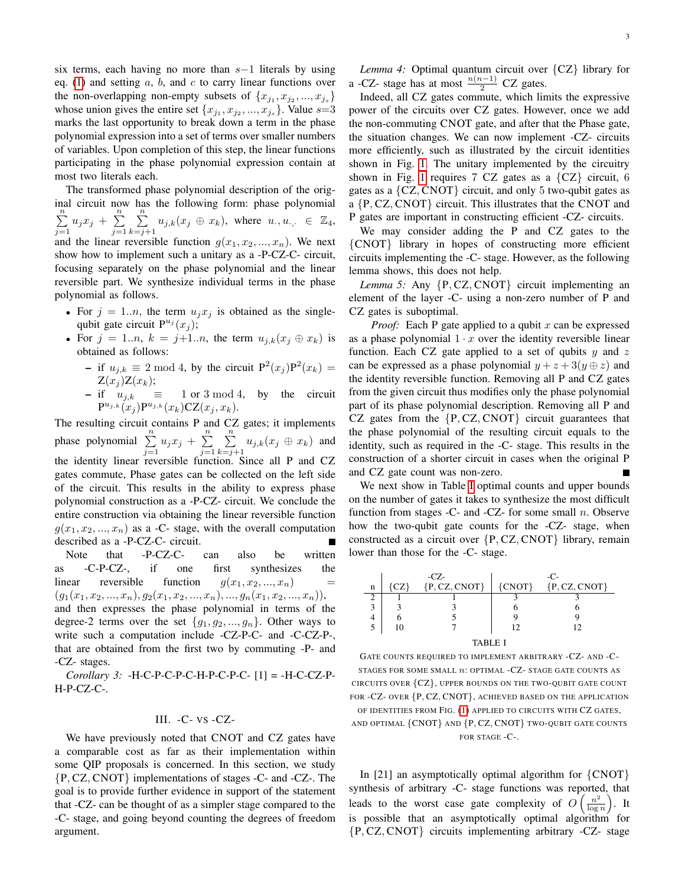six terms, each having no more than  $s-1$  literals by using eq. [\(1\)](#page-1-0) and setting  $a, b$ , and  $c$  to carry linear functions over the non-overlapping non-empty subsets of  $\{x_{j_1}, x_{j_2}, ..., x_{j_s}\}$ whose union gives the entire set  $\{x_{j_1}, x_{j_2}, ..., x_{j_s}\}$ . Value  $s=3$ marks the last opportunity to break down a term in the phase polynomial expression into a set of terms over smaller numbers of variables. Upon completion of this step, the linear functions participating in the phase polynomial expression contain at most two literals each.

The transformed phase polynomial description of the original circuit now has the following form: phase polynomial  $\sum_{n=1}^{\infty}$  $\sum_{j=1}^{n} u_j x_j + \sum_{j=1}^{n}$  $j=1$  $\sum_{n=1}^{\infty}$  $\sum_{k=j+1}^{\infty} u_{j,k}(x_j \oplus x_k)$ , where  $u_{\cdot}, u_{\cdot,\cdot} \in \mathbb{Z}_4$ , and the linear reversible function  $q(x_1, x_2, ..., x_n)$ . We next show how to implement such a unitary as a -P-CZ-C- circuit, focusing separately on the phase polynomial and the linear reversible part. We synthesize individual terms in the phase polynomial as follows.

- For  $j = 1..n$ , the term  $u_j x_j$  is obtained as the singlequbit gate circuit  $P^{u_j}(x_j)$ ;
- For  $j = 1..n$ ,  $k = j+1..n$ , the term  $u_{j,k}(x_j \oplus x_k)$  is obtained as follows:
	- if  $u_{j,k} \equiv 2 \mod 4$ , by the circuit  $P^2(x_j)P^2(x_k) =$  $Z(x_j)Z(x_k);$
	- $-$  if  $u_{j,k} \equiv 1 \text{ or } 3 \mod 4$ , by the circuit  ${\mathtt P}^{u_{j,k}}(x_j) {\mathtt P}^{u_{j,k}}(x_k) {\mathtt C} {\mathtt Z}(x_j, x_k).$

The resulting circuit contains P and CZ gates; it implements phase polynomial  $\sum_{j=1}^{n} u_j x_j + \sum_{j=1}^{n}$  $\sum_{n=1}^{\infty}$  $\sum_{k=j+1} u_{j,k}(x_j \oplus x_k)$  and  $j=1$ the identity linear reversible function. Since all P and CZ gates commute, Phase gates can be collected on the left side of the circuit. This results in the ability to express phase polynomial construction as a -P-CZ- circuit. We conclude the entire construction via obtaining the linear reversible function  $g(x_1, x_2, ..., x_n)$  as a -C- stage, with the overall computation described as a -P-CZ-C- circuit. П

Note that -P-CZ-C- can also be written as -C-P-CZ-, if one first synthesizes the linear reversible function  $g(x_1, x_2, ..., x_n)$  =  $(g_1(x_1, x_2, ..., x_n), g_2(x_1, x_2, ..., x_n), ..., g_n(x_1, x_2, ..., x_n)),$ and then expresses the phase polynomial in terms of the degree-2 terms over the set  ${g_1, g_2, ..., g_n}$ . Other ways to write such a computation include -CZ-P-C- and -C-CZ-P-, that are obtained from the first two by commuting -P- and -CZ- stages.

*Corollary 3:* -H-C-P-C-P-C-H-P-C-P-C- [1] = -H-C-CZ-P-H-P-CZ-C-.

# III. -C- VS -CZ-

<span id="page-2-0"></span>We have previously noted that CNOT and CZ gates have a comparable cost as far as their implementation within some QIP proposals is concerned. In this section, we study {P, CZ, CNOT} implementations of stages -C- and -CZ-. The goal is to provide further evidence in support of the statement that -CZ- can be thought of as a simpler stage compared to the -C- stage, and going beyond counting the degrees of freedom argument.

3

*Lemma 4:* Optimal quantum circuit over {CZ} library for a -CZ- stage has at most  $\frac{n(n-1)}{2}$  CZ gates.

Indeed, all CZ gates commute, which limits the expressive power of the circuits over CZ gates. However, once we add the non-commuting CNOT gate, and after that the Phase gate, the situation changes. We can now implement -CZ- circuits more efficiently, such as illustrated by the circuit identities shown in Fig. [1.](#page-3-0) The unitary implemented by the circuitry shown in Fig. [1](#page-3-0) requires 7 CZ gates as a  ${CZ}$  circuit, 6 gates as a  ${CZ, CNOT}$  circuit, and only 5 two-qubit gates as a {P, CZ, CNOT} circuit. This illustrates that the CNOT and P gates are important in constructing efficient -CZ- circuits.

We may consider adding the P and CZ gates to the {CNOT} library in hopes of constructing more efficient circuits implementing the -C- stage. However, as the following lemma shows, this does not help.

*Lemma 5:* Any {P, CZ, CNOT} circuit implementing an element of the layer -C- using a non-zero number of P and CZ gates is suboptimal.

*Proof:* Each P gate applied to a qubit  $x$  can be expressed as a phase polynomial  $1 \cdot x$  over the identity reversible linear function. Each CZ gate applied to a set of qubits  $y$  and  $z$ can be expressed as a phase polynomial  $y + z + 3(y \oplus z)$  and the identity reversible function. Removing all P and CZ gates from the given circuit thus modifies only the phase polynomial part of its phase polynomial description. Removing all P and CZ gates from the  $\{P, CZ, CNOT\}$  circuit guarantees that the phase polynomial of the resulting circuit equals to the identity, such as required in the -C- stage. This results in the construction of a shorter circuit in cases when the original P and CZ gate count was non-zero.

We next show in Table [I](#page-2-1) optimal counts and upper bounds on the number of gates it takes to synthesize the most difficult function from stages -C- and -CZ- for some small  $n$ . Observe how the two-qubit gate counts for the -CZ- stage, when constructed as a circuit over {P, CZ, CNOT} library, remain lower than those for the -C- stage.

|         | $-CZ$ |                 | -0       |                   |
|---------|-------|-----------------|----------|-------------------|
| n       |       | ${P, CZ, CNOT}$ | ${CNOT}$ | $\{P, CZ, CNOT\}$ |
|         |       |                 |          |                   |
|         |       |                 |          |                   |
|         |       |                 |          |                   |
|         |       |                 | 1つ       |                   |
| TABLE I |       |                 |          |                   |

<span id="page-2-1"></span>GATE COUNTS REQUIRED TO IMPLEMENT ARBITRARY -CZ- AND -C-STAGES FOR SOME SMALL  $n$ : OPTIMAL -CZ- STAGE GATE COUNTS AS CIRCUITS OVER {CZ}, UPPER BOUNDS ON THE TWO-QUBIT GATE COUNT FOR -CZ- OVER {P, CZ, CNOT}, ACHIEVED BASED ON THE APPLICATION OF IDENTITIES FROM FIG. [\(1\)](#page-3-0) APPLIED TO CIRCUITS WITH CZ GATES, AND OPTIMAL {CNOT} AND {P, CZ, CNOT} TWO-QUBIT GATE COUNTS FOR STAGE -C-.

In [21] an asymptotically optimal algorithm for  $\{CNOT\}$ synthesis of arbitrary -C- stage functions was reported, that leads to the worst case gate complexity of  $O\left(\frac{n^2}{\log n}\right)$  $\frac{n^2}{\log n}$ ). It is possible that an asymptotically optimal algorithm for {P, CZ, CNOT} circuits implementing arbitrary -CZ- stage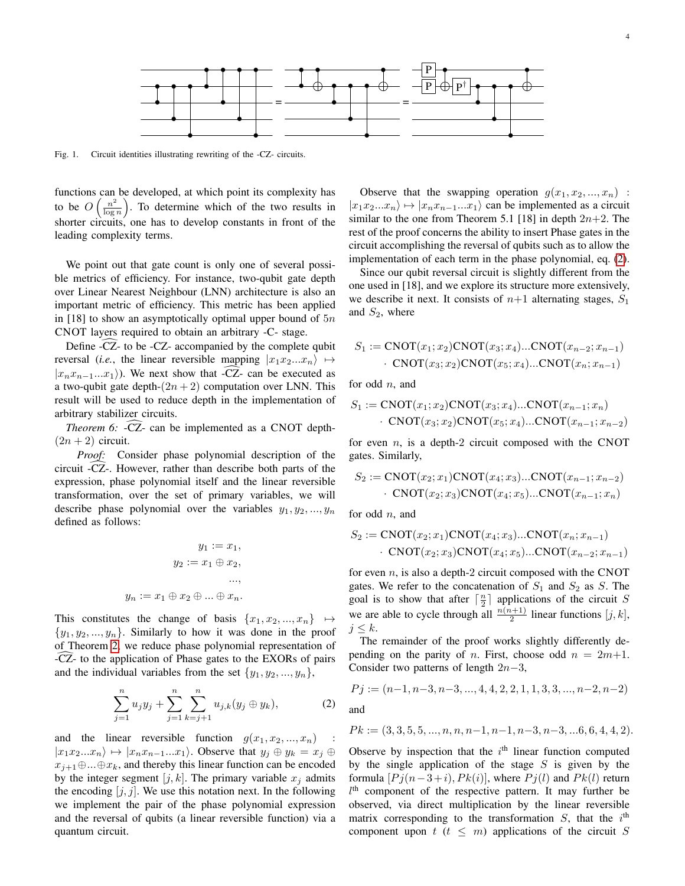

<span id="page-3-0"></span>Fig. 1. Circuit identities illustrating rewriting of the -CZ- circuits.

functions can be developed, at which point its complexity has to be  $O\left(\frac{n^2}{\log n}\right)$  $\left(\frac{n^2}{\log n}\right)$ . To determine which of the two results in shorter circuits, one has to develop constants in front of the leading complexity terms.

We point out that gate count is only one of several possible metrics of efficiency. For instance, two-qubit gate depth over Linear Nearest Neighbour (LNN) architecture is also an important metric of efficiency. This metric has been applied in [18] to show an asymptotically optimal upper bound of  $5n$ CNOT layers required to obtain an arbitrary -C- stage.

Define -CZ- to be -CZ- accompanied by the complete qubit reversal (*i.e.*, the linear reversible mapping  $|x_1x_2...x_n\rangle \mapsto$  $|x_nx_{n-1}...x_1\rangle$ ). We next show that -CZ- can be executed as a two-qubit gate depth- $(2n + 2)$  computation over LNN. This result will be used to reduce depth in the implementation of arbitrary stabilizer circuits.

<span id="page-3-2"></span>*Theorem 6:* -CZ- can be implemented as a CNOT depth- $(2n + 2)$  circuit.

*Proof:* Consider phase polynomial description of the circuit -CZ-. However, rather than describe both parts of the expression, phase polynomial itself and the linear reversible transformation, over the set of primary variables, we will describe phase polynomial over the variables  $y_1, y_2, ..., y_n$ defined as follows:

$$
y_1 := x_1,
$$
  

$$
y_2 := x_1 \oplus x_2,
$$
  

$$
y_n := x_1 \oplus x_2 \oplus \dots \oplus x_n.
$$

This constitutes the change of basis  $\{x_1, x_2, ..., x_n\} \rightarrow$  $\{y_1, y_2, ..., y_n\}$ . Similarly to how it was done in the proof of Theorem [2,](#page-1-1) we reduce phase polynomial representation of -CZ- to the application of Phase gates to the EXORs of pairs and the individual variables from the set  $\{y_1, y_2, ..., y_n\}$ ,

<span id="page-3-1"></span>
$$
\sum_{j=1}^{n} u_j y_j + \sum_{j=1}^{n} \sum_{k=j+1}^{n} u_{j,k} (y_j \oplus y_k), \tag{2}
$$

and the linear reversible function  $g(x_1, x_2, ..., x_n)$  :  $|x_1x_2...x_n\rangle \mapsto |x_nx_{n-1}...x_1\rangle$ . Observe that  $y_i \oplus y_k = x_i \oplus$  $x_{i+1} \oplus ... \oplus x_k$ , and thereby this linear function can be encoded by the integer segment  $[j, k]$ . The primary variable  $x_j$  admits the encoding  $[j, j]$ . We use this notation next. In the following we implement the pair of the phase polynomial expression and the reversal of qubits (a linear reversible function) via a quantum circuit.

Observe that the swapping operation  $g(x_1, x_2, ..., x_n)$ :  $|x_1x_2...x_n\rangle \mapsto |x_nx_{n-1}...x_1\rangle$  can be implemented as a circuit similar to the one from Theorem 5.1 [18] in depth  $2n+2$ . The rest of the proof concerns the ability to insert Phase gates in the circuit accomplishing the reversal of qubits such as to allow the implementation of each term in the phase polynomial, eq. [\(2\)](#page-3-1).

Since our qubit reversal circuit is slightly different from the one used in [18], and we explore its structure more extensively, we describe it next. It consists of  $n+1$  alternating stages,  $S_1$ and  $S_2$ , where

$$
S_1 := \text{CNOT}(x_1; x_2)\text{CNOT}(x_3; x_4)\dots\text{CNOT}(x_{n-2}; x_{n-1})
$$
  
 
$$
\cdot \text{CNOT}(x_3; x_2)\text{CNOT}(x_5; x_4)\dots\text{CNOT}(x_n; x_{n-1})
$$

for odd  $n$ , and

$$
S_1 := \text{CNOT}(x_1; x_2)\text{CNOT}(x_3; x_4)\dots\text{CNOT}(x_{n-1}; x_n)
$$

$$
\cdot \text{CNOT}(x_3; x_2)\text{CNOT}(x_5; x_4)\dots\text{CNOT}(x_{n-1}; x_{n-2})
$$

for even  $n$ , is a depth-2 circuit composed with the CNOT gates. Similarly,

$$
S_2 := \text{CNOT}(x_2; x_1)\text{CNOT}(x_4; x_3)\dots\text{CNOT}(x_{n-1}; x_{n-2})
$$

$$
\cdot \text{CNOT}(x_2; x_3)\text{CNOT}(x_4; x_5)\dots\text{CNOT}(x_{n-1}; x_n)
$$

for odd *n*, and

$$
S_2 := \text{CNOT}(x_2; x_1)\text{CNOT}(x_4; x_3)\dots\text{CNOT}(x_n; x_{n-1})
$$
  
• 
$$
\text{CNOT}(x_2; x_3)\text{CNOT}(x_4; x_5)\dots\text{CNOT}(x_{n-2}; x_{n-1})
$$

for even  $n$ , is also a depth-2 circuit composed with the CNOT gates. We refer to the concatenation of  $S_1$  and  $S_2$  as S. The goal is to show that after  $\lceil \frac{n}{2} \rceil$  applications of the circuit S we are able to cycle through all  $\frac{n(n+1)}{2}$  linear functions  $[j, k]$ ,  $j \leq k$ .

The remainder of the proof works slightly differently depending on the parity of *n*. First, choose odd  $n = 2m+1$ . Consider two patterns of length  $2n-3$ ,

$$
Pj := (n-1, n-3, n-3, ..., 4, 4, 2, 2, 1, 1, 3, 3, ..., n-2, n-2)
$$

and

$$
Pk := (3, 3, 5, 5, ..., n, n, n-1, n-1, n-3, n-3, ... 6, 6, 4, 4, 2).
$$

Observe by inspection that the  $i<sup>th</sup>$  linear function computed by the single application of the stage  $S$  is given by the formula  $[Pj(n-3+i), Pk(i)]$ , where  $Pj(l)$  and  $Pk(l)$  return  $l<sup>th</sup>$  component of the respective pattern. It may further be observed, via direct multiplication by the linear reversible matrix corresponding to the transformation  $S$ , that the  $i<sup>th</sup>$ component upon  $t$  ( $t \leq m$ ) applications of the circuit S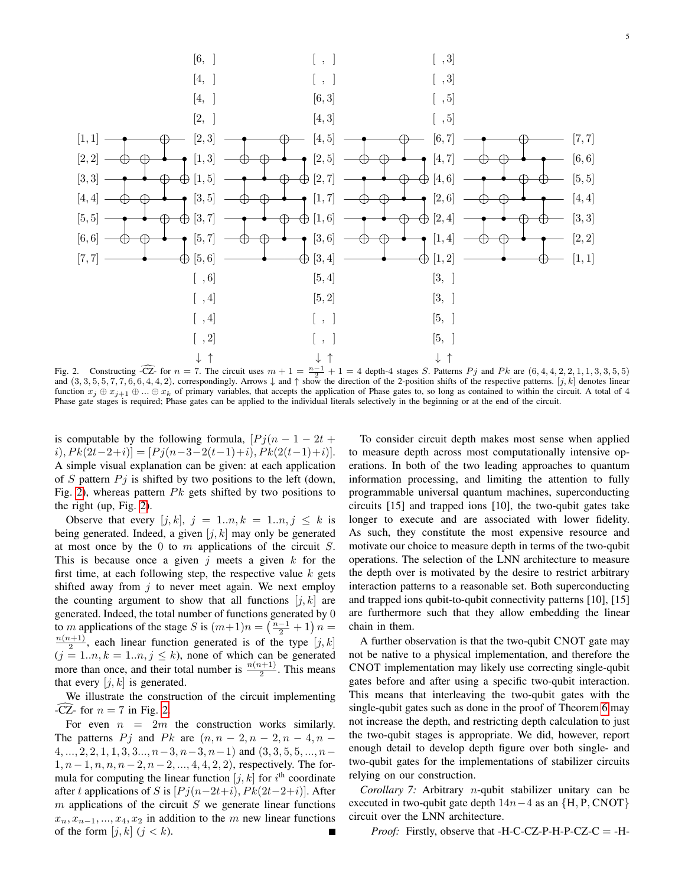

<span id="page-4-0"></span>Fig. 2. Constructing  $\overline{CZ}$  for  $n = 7$ . The circuit uses  $m + 1 = \frac{n-1}{2} + 1 = 4$  depth-4 stages S. Patterns  $Pj$  and  $Pk$  are  $(6, 4, 4, 2, 2, 1, 1, 3, 3, 5, 5)$  and  $(3, 3, 5, 5, 7, 7, 6, 6, 4, 4, 2)$ , correspondingly. A function  $x_j \oplus x_{j+1} \oplus ... \oplus x_k$  of primary variables, that accepts the application of Phase gates to, so long as contained to within the circuit. A total of 4 Phase gate stages is required; Phase gates can be applied to the individual literals selectively in the beginning or at the end of the circuit.

is computable by the following formula,  $[Pj(n-1-2t+1)]$  $i), P k(2t-2+i)$ ] = [ $P j(n-3-2(t-1)+i)$ ,  $P k(2(t-1)+i)$ ]. A simple visual explanation can be given: at each application of S pattern  $P_j$  is shifted by two positions to the left (down, Fig. [2\)](#page-4-0), whereas pattern  $Pk$  gets shifted by two positions to the right (up, Fig. [2\)](#page-4-0).

Observe that every  $[j, k]$ ,  $j = 1..n, k = 1..n, j \leq k$  is being generated. Indeed, a given  $[j, k]$  may only be generated at most once by the 0 to  $m$  applications of the circuit  $S$ . This is because once a given j meets a given  $k$  for the first time, at each following step, the respective value  $k$  gets shifted away from  $i$  to never meet again. We next employ the counting argument to show that all functions  $[j, k]$  are generated. Indeed, the total number of functions generated by 0 to *m* applications of the stage *S* is  $(m+1)n = \left(\frac{n-1}{2} + 1\right)n =$  $\frac{n(n+1)}{2}$ , each linear function generated is of the type  $[j, k]$  $(j = 1..n, k = 1..n, j \le k)$ , none of which can be generated more than once, and their total number is  $\frac{n(n+1)}{2}$ . This means that every  $[j, k]$  is generated.

We illustrate the construction of the circuit implementing -CZ- for  $n = 7$  in Fig. [2.](#page-4-0)

For even  $n = 2m$  the construction works similarly. The patterns P j and P k are  $(n, n-2, n-2, n-4, n-4)$  $4, \ldots, 2, 2, 1, 1, 3, 3, \ldots, n-3, n-3, n-1)$  and  $(3, 3, 5, 5, \ldots, n-3, n-1)$  $1, n-1, n, n, n-2, n-2, ..., 4, 4, 2, 2$ , respectively. The formula for computing the linear function  $[j, k]$  for  $i<sup>th</sup>$  coordinate after t applications of S is  $[Pj(n-2t+i), Pk(2t-2+i)]$ . After  $m$  applications of the circuit  $S$  we generate linear functions  $x_n, x_{n-1}, \ldots, x_4, x_2$  in addition to the m new linear functions of the form  $[j, k]$   $(j < k)$ .

To consider circuit depth makes most sense when applied to measure depth across most computationally intensive operations. In both of the two leading approaches to quantum information processing, and limiting the attention to fully programmable universal quantum machines, superconducting circuits [15] and trapped ions [10], the two-qubit gates take longer to execute and are associated with lower fidelity. As such, they constitute the most expensive resource and motivate our choice to measure depth in terms of the two-qubit operations. The selection of the LNN architecture to measure the depth over is motivated by the desire to restrict arbitrary interaction patterns to a reasonable set. Both superconducting and trapped ions qubit-to-qubit connectivity patterns [10], [15] are furthermore such that they allow embedding the linear chain in them.

A further observation is that the two-qubit CNOT gate may not be native to a physical implementation, and therefore the CNOT implementation may likely use correcting single-qubit gates before and after using a specific two-qubit interaction. This means that interleaving the two-qubit gates with the single-qubit gates such as done in the proof of Theorem [6](#page-3-2) may not increase the depth, and restricting depth calculation to just the two-qubit stages is appropriate. We did, however, report enough detail to develop depth figure over both single- and two-qubit gates for the implementations of stabilizer circuits relying on our construction.

<span id="page-4-1"></span>*Corollary 7:* Arbitrary n-qubit stabilizer unitary can be executed in two-qubit gate depth  $14n-4$  as an  $\{H, P, CNOT\}$ circuit over the LNN architecture.

*Proof:* Firstly, observe that -H-C-CZ-P-H-P-CZ-C = -H-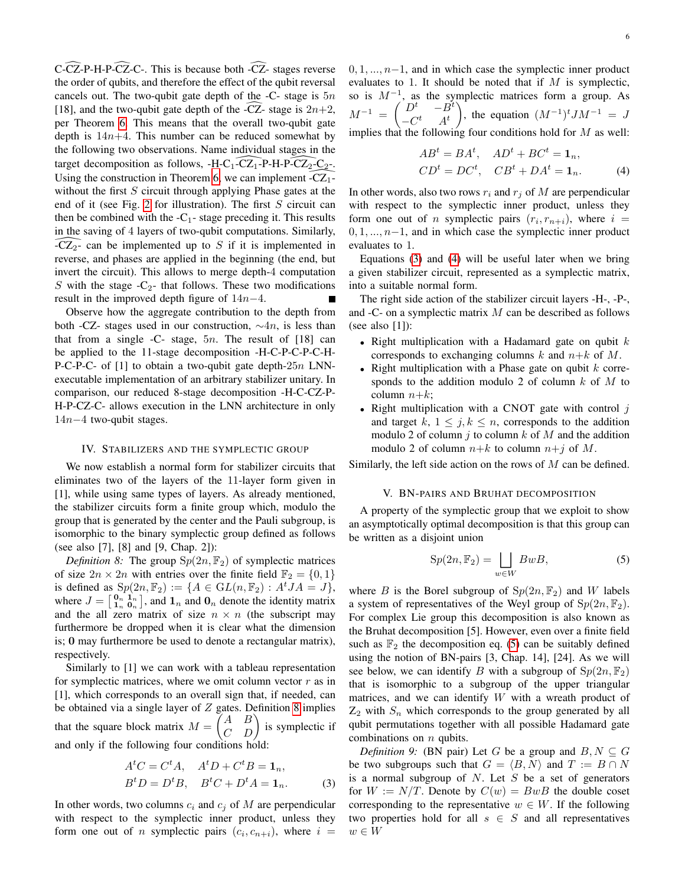6

 $C$ -CZ-P-H-P-CZ-C-. This is because both -CZ- stages reverse the order of qubits, and therefore the effect of the qubit reversal cancels out. The two-qubit gate depth of the  $-C$ - stage is  $5n$ [18], and the two-qubit gate depth of the -CZ- stage is  $2n+2$ , per Theorem [6.](#page-3-2) This means that the overall two-qubit gate depth is  $14n+4$ . This number can be reduced somewhat by the following two observations. Name individual stages in the target decomposition as follows,  $-H-C_1-CL_1-P-H-P-CZ_2-C_2$ . Using the construction in Theorem [6,](#page-3-2) we can implement  $-CZ_1$ without the first  $S$  circuit through applying Phase gates at the end of it (see Fig. [2](#page-4-0) for illustration). The first  $S$  circuit can then be combined with the  $-C_1$ - stage preceding it. This results in the saving of 4 layers of two-qubit computations. Similarly,  $-CZ<sub>2</sub>$ - can be implemented up to S if it is implemented in reverse, and phases are applied in the beginning (the end, but invert the circuit). This allows to merge depth-4 computation S with the stage  $-C_2$ - that follows. These two modifications result in the improved depth figure of  $14n-4$ .

Observe how the aggregate contribution to the depth from both -CZ- stages used in our construction,  $\sim$ 4n, is less than that from a single -C- stage,  $5n$ . The result of [18] can be applied to the 11-stage decomposition -H-C-P-C-P-C-H-P-C-P-C- of  $[1]$  to obtain a two-qubit gate depth- $25n$  LNNexecutable implementation of an arbitrary stabilizer unitary. In comparison, our reduced 8-stage decomposition -H-C-CZ-P-H-P-CZ-C- allows execution in the LNN architecture in only 14n−4 two-qubit stages.

## IV. STABILIZERS AND THE SYMPLECTIC GROUP

We now establish a normal form for stabilizer circuits that eliminates two of the layers of the 11-layer form given in [1], while using same types of layers. As already mentioned, the stabilizer circuits form a finite group which, modulo the group that is generated by the center and the Pauli subgroup, is isomorphic to the binary symplectic group defined as follows (see also [7], [8] and [9, Chap. 2]):

<span id="page-5-0"></span>*Definition 8:* The group  $Sp(2n, \mathbb{F}_2)$  of symplectic matrices of size  $2n \times 2n$  with entries over the finite field  $\mathbb{F}_2 = \{0, 1\}$ is defined as  $Sp(2n, \mathbb{F}_2) := \{A \in GL(n, \mathbb{F}_2) : A^tJA = J\},\$ where  $J = \begin{bmatrix} 0 & 1 \\ 1 & 0 \end{bmatrix}$ , and  $1_n$  and  $0_n$  denote the identity matrix and the all zero matrix of size  $n \times n$  (the subscript may furthermore be dropped when it is clear what the dimension is; 0 may furthermore be used to denote a rectangular matrix), respectively.

Similarly to [1] we can work with a tableau representation for symplectic matrices, where we omit column vector  $r$  as in [1], which corresponds to an overall sign that, if needed, can be obtained via a single layer of  $Z$  gates. Definition [8](#page-5-0) implies that the square block matrix  $M = \begin{pmatrix} A & B \\ C & D \end{pmatrix}$  is symplectic if and only if the following four conditions hold:

<span id="page-5-1"></span>
$$
AtC = CtA, AtD + CtB = \mathbf{1}_n,
$$
  

$$
BtD = DtB, BtC + DtA = \mathbf{1}_n.
$$
 (3)

In other words, two columns  $c_i$  and  $c_j$  of M are perpendicular with respect to the symplectic inner product, unless they form one out of *n* symplectic pairs  $(c_i, c_{n+i})$ , where  $i =$   $0, 1, \ldots, n-1$ , and in which case the symplectic inner product evaluates to 1. It should be noted that if  $M$  is symplectic, so is  $M^{-1}$ , as the symplectic matrices form a group. As  $M^{-1} = \begin{pmatrix} D^t & -B^t \ C^t & 4t \end{pmatrix}$  $-C^t$   $A^t$ ), the equation  $(M^{-1})^t J M^{-1} = J$ implies that the following four conditions hold for  $M$  as well:

<span id="page-5-2"></span>
$$
ABt = BAt, \quad ADt + BCt = \mathbf{1}_n,
$$
  
\n
$$
CDt = DCt, \quad CBt + DAt = \mathbf{1}_n.
$$
 (4)

In other words, also two rows  $r_i$  and  $r_j$  of M are perpendicular with respect to the symplectic inner product, unless they form one out of *n* symplectic pairs  $(r_i, r_{n+i})$ , where  $i =$  $0, 1, \ldots, n-1$ , and in which case the symplectic inner product evaluates to 1.

Equations [\(3\)](#page-5-1) and [\(4\)](#page-5-2) will be useful later when we bring a given stabilizer circuit, represented as a symplectic matrix, into a suitable normal form.

The right side action of the stabilizer circuit layers -H-, -P-, and -C- on a symplectic matrix M can be described as follows (see also [1]):

- Right multiplication with a Hadamard gate on qubit  $k$ corresponds to exchanging columns k and  $n+k$  of M.
- Right multiplication with a Phase gate on qubit  $k$  corresponds to the addition modulo 2 of column  $k$  of  $M$  to column  $n+k$ ;
- Right multiplication with a CNOT gate with control  $j$ and target k,  $1 \leq j, k \leq n$ , corresponds to the addition modulo 2 of column j to column  $k$  of  $M$  and the addition modulo 2 of column  $n+k$  to column  $n+j$  of M.

Similarly, the left side action on the rows of  $M$  can be defined.

## V. BN-PAIRS AND BRUHAT DECOMPOSITION

A property of the symplectic group that we exploit to show an asymptotically optimal decomposition is that this group can be written as a disjoint union

<span id="page-5-3"></span>
$$
Sp(2n, \mathbb{F}_2) = \bigsqcup_{w \in W} BwB,\tag{5}
$$

where B is the Borel subgroup of  $Sp(2n, \mathbb{F}_2)$  and W labels a system of representatives of the Weyl group of  $Sp(2n, \mathbb{F}_2)$ . For complex Lie group this decomposition is also known as the Bruhat decomposition [5]. However, even over a finite field such as  $\mathbb{F}_2$  the decomposition eq. [\(5\)](#page-5-3) can be suitably defined using the notion of BN-pairs [3, Chap. 14], [24]. As we will see below, we can identify B with a subgroup of  $Sp(2n, \mathbb{F}_2)$ that is isomorphic to a subgroup of the upper triangular matrices, and we can identify  $W$  with a wreath product of  $Z_2$  with  $S_n$  which corresponds to the group generated by all qubit permutations together with all possible Hadamard gate combinations on  $n$  qubits.

*Definition 9:* (BN pair) Let G be a group and  $B, N \subseteq G$ be two subgroups such that  $G = \langle B, N \rangle$  and  $T := B \cap N$ is a normal subgroup of  $N$ . Let  $S$  be a set of generators for  $W := N/T$ . Denote by  $C(w) = BwB$  the double coset corresponding to the representative  $w \in W$ . If the following two properties hold for all  $s \in S$  and all representatives  $w \in W$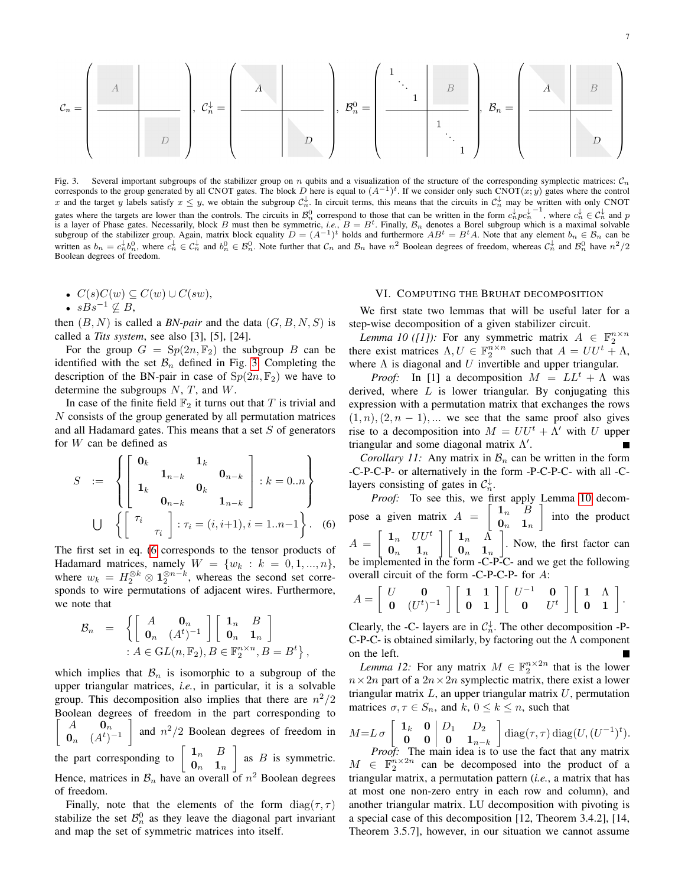$$
\mathcal{C}_n = \left(\begin{array}{c|c} & A & & \\ \hline & & & \\ \hline & & & \\ \hline & & & \\ \hline & & & \\ \hline & & & \\ \hline & & & \\ \hline & & & \\ \hline & & & \\ \hline & & & \\ \hline & & & \\ \hline & & & \\ \hline & & & \\ \hline & & & \\ \hline & & & \\ \hline & & & \\ \hline & & & \\ \hline & & & \\ \hline & & & \\ \hline & & & \\ \hline & & & \\ \hline & & & \\ \hline & & & \\ \hline & & & \\ \hline & & & \\ \hline & & & \\ \hline & & & \\ \hline & & & \\ \hline & & & \\ \hline & & & \\ \hline & & & \\ \hline & & & \\ \hline & & & \\ \hline & & & \\ \hline & & & \\ \hline & & & \\ \hline & & & \\ \hline & & & \\ \hline & & & \\ \hline & & & \\ \hline & & & \\ \hline & & & \\ \hline & & & \\ \hline & & & \\ \hline & & & \\ \hline & & & \\ \hline & & & \\ \hline & & & \\ \hline & & & \\ \hline & & & \\ \hline & & & \\ \hline & & & \\ \hline & & & \\ \hline & & & \\ \hline & & & \\ \hline & & & \\ \hline & & & \\ \h
$$

<span id="page-6-1"></span>Fig. 3. Several important subgroups of the stabilizer group on  $n$  qubits and a visualization of the structure of the corresponding symplectic matrices:  $C_n$ corresponds to the group generated by all CNOT gates. The block D here is equal to  $(A^{-1})^t$ . If we consider only such CNOT $(x, y)$  gates where the control x and the target y labels satisfy  $x \leq y$ , we obtain the subgroup  $C_n^{\downarrow}$ . In circuit terms, this means that the circuits in  $C_n^{\downarrow}$  may be written with only CNOT gates where the targets are lower than the controls. The circuits in  $\mathcal{B}_n^0$  correspond to those that can be written in the form  $c_n^{\downarrow} p c_n^{\downarrow -1}$ , where  $c_n^{\downarrow} \in \mathcal{C}_n^{\downarrow}$  and p is a layer of Phase gates. Necessarily, block B must then be symmetric, *i.e.*,  $B = B<sup>t</sup>$ . Finally,  $B<sub>n</sub>$  denotes a Borel subgroup which is a maximal solvable subgroup of the stabilizer group. Again, matrix block eq written as  $b_n = c_n^{\downarrow} b_n^0$ , where  $c_n^{\downarrow} \in C_n^{\downarrow}$  and  $b_n^0 \in \mathcal{B}_n^0$ . Note further that  $\mathcal{C}_n$  and  $\mathcal{B}_n$  have  $n^2$  Boolean degrees of freedom, whereas  $\mathcal{C}_n^{\downarrow}$  and  $\mathcal{B}_n^0$  have  $n^2/2$ Boolean degrees of freedom.

•  $C(s)C(w) \subseteq C(w) \cup C(sw)$ ,

• 
$$
sBs^{-1} \nsubseteq B
$$
,

then  $(B, N)$  is called a *BN-pair* and the data  $(G, B, N, S)$  is called a *Tits system*, see also [3], [5], [24].

For the group  $G = \text{Sp}(2n, \mathbb{F}_2)$  the subgroup B can be identified with the set  $\mathcal{B}_n$  defined in Fig. [3.](#page-6-1) Completing the description of the BN-pair in case of  $Sp(2n, \mathbb{F}_2)$  we have to determine the subgroups  $N$ ,  $T$ , and  $W$ .

In case of the finite field  $\mathbb{F}_2$  it turns out that T is trivial and N consists of the group generated by all permutation matrices and all Hadamard gates. This means that a set  $S$  of generators for W can be defined as

<span id="page-6-2"></span>
$$
S := \begin{cases} \begin{bmatrix} \mathbf{0}_k & \mathbf{1}_k \\ \mathbf{1}_k & \mathbf{0}_k \\ \mathbf{0}_{n-k} & \mathbf{1}_{n-k} \end{bmatrix} : k = 0..n \end{cases}
$$
\n
$$
\bigcup \left\{ \begin{bmatrix} \tau_i & \tau_i = (i, i+1), i = 1..n-1 \end{bmatrix} \right\}.
$$
\n
$$
(6)
$$

The first set in eq. [\(6](#page-6-2) corresponds to the tensor products of Hadamard matrices, namely  $W = \{w_k : k = 0, 1, ..., n\},\$ where  $w_k = H_2^{\otimes k} \otimes \mathbf{1}_2^{\otimes n-k}$ , whereas the second set corresponds to wire permutations of adjacent wires. Furthermore, we note that

$$
\mathcal{B}_n = \left\{ \left[ \begin{array}{cc} A & \mathbf{0}_n \\ \mathbf{0}_n & (A^t)^{-1} \end{array} \right] \left[ \begin{array}{cc} \mathbf{1}_n & B \\ \mathbf{0}_n & \mathbf{1}_n \end{array} \right] \\ : A \in GL(n, \mathbb{F}_2), B \in \mathbb{F}_2^{n \times n}, B = B^t \right\},
$$

which implies that  $\mathcal{B}_n$  is isomorphic to a subgroup of the upper triangular matrices, *i.e.*, in particular, it is a solvable group. This decomposition also implies that there are  $n^2/2$ Boolean degrees of freedom in the part corresponding to  $A$  0<sub>n</sub>  $\mathbf{0}_n \quad (A^t)^{-1}$ 1 and  $n^2/2$  Boolean degrees of freedom in the part corresponding to  $\begin{bmatrix} 1_n & B \\ 0 & 1 \end{bmatrix}$  $\mathbf{0}_n$  1<sub>n</sub> as  $B$  is symmetric. Hence, matrices in  $\mathcal{B}_n$  have an overall of  $n^2$  Boolean degrees of freedom.

Finally, note that the elements of the form  $diag(\tau, \tau)$ stabilize the set  $\mathcal{B}_n^0$  as they leave the diagonal part invariant and map the set of symmetric matrices into itself.

## VI. COMPUTING THE BRUHAT DECOMPOSITION

<span id="page-6-0"></span>We first state two lemmas that will be useful later for a step-wise decomposition of a given stabilizer circuit.

<span id="page-6-3"></span>*Lemma 10 ([1]):* For any symmetric matrix  $A \in \mathbb{F}_2^{n \times n}$ there exist matrices  $\Lambda, U \in \mathbb{F}_2^{n \times n}$  such that  $A = U U^t + \Lambda$ , where  $\Lambda$  is diagonal and U invertible and upper triangular.

*Proof:* In [1] a decomposition  $M = LL^t + \Lambda$  was derived, where  $L$  is lower triangular. By conjugating this expression with a permutation matrix that exchanges the rows  $(1, n), (2, n - 1), \dots$  we see that the same proof also gives rise to a decomposition into  $M = U U^t + \Lambda'$  with U upper triangular and some diagonal matrix  $\Lambda'$ .

*Corollary 11:* Any matrix in  $\mathcal{B}_n$  can be written in the form -C-P-C-P- or alternatively in the form -P-C-P-C- with all -Clayers consisting of gates in  $C_n^{\downarrow}$ .

*Proof:* To see this, we first apply Lemma [10](#page-6-3) decompose a given matrix  $A = \begin{bmatrix} 1_n & B \\ 0 & 1 \end{bmatrix}$  $\mathbf{0}_n$  1<sub>n</sub> into the product  $A = \begin{bmatrix} 1_n & UU^t \\ 0 & 1 \end{bmatrix}$  $\mathbf{0}_n$  1<sub>n</sub>  $\left[\begin{array}{cc} 1_n & \Lambda\end{array}\right]$  $\mathbf{0}_n$  1<sub>n</sub> . Now, the first factor can be implemented in the form -C-P-C- and we get the following overall circuit of the form -C-P-C-P- for A:

$$
A = \left[ \begin{array}{cc} U & \mathbf{0} \\ \mathbf{0} & (U^t)^{-1} \end{array} \right] \left[ \begin{array}{cc} \mathbf{1} & \mathbf{1} \\ \mathbf{0} & \mathbf{1} \end{array} \right] \left[ \begin{array}{cc} U^{-1} & \mathbf{0} \\ \mathbf{0} & U^t \end{array} \right] \left[ \begin{array}{cc} \mathbf{1} & \Lambda \\ \mathbf{0} & \mathbf{1} \end{array} \right].
$$

Clearly, the -C- layers are in  $C_n^{\downarrow}$ . The other decomposition -P-C-P-C- is obtained similarly, by factoring out the  $\Lambda$  component on the left.

<span id="page-6-4"></span>*Lemma 12:* For any matrix  $M \in \mathbb{F}_2^{n \times 2n}$  that is the lower  $n \times 2n$  part of a  $2n \times 2n$  symplectic matrix, there exist a lower triangular matrix  $L$ , an upper triangular matrix  $U$ , permutation matrices  $\sigma, \tau \in S_n$ , and  $k, 0 \leq k \leq n$ , such that

$$
M = L \sigma \begin{bmatrix} \mathbf{1}_k & \mathbf{0} & D_1 & D_2 \\ \mathbf{0} & \mathbf{0} & \mathbf{0} & \mathbf{1}_{n-k} \end{bmatrix} \text{diag}(\tau, \tau) \text{diag}(U, (U^{-1})^t).
$$
  
*Proof:* The main idea is to use the fact that any matrix

 $M \in \mathbb{F}_2^{n \times 2n}$  can be decomposed into the product of a triangular matrix, a permutation pattern (*i.e.*, a matrix that has at most one non-zero entry in each row and column), and another triangular matrix. LU decomposition with pivoting is a special case of this decomposition [12, Theorem 3.4.2], [14, Theorem 3.5.7], however, in our situation we cannot assume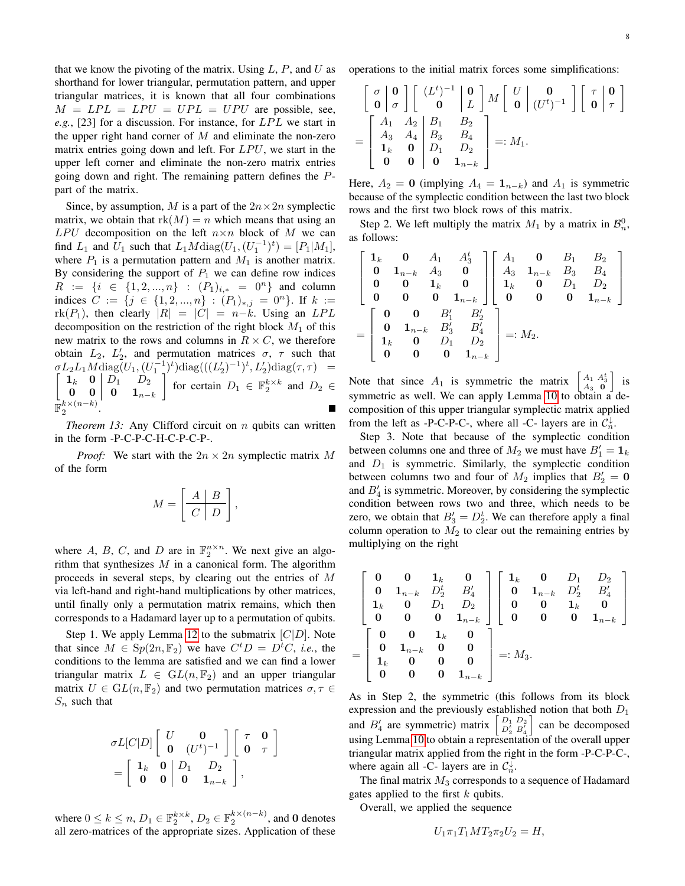that we know the pivoting of the matrix. Using  $L$ ,  $P$ , and  $U$  as shorthand for lower triangular, permutation pattern, and upper triangular matrices, it is known that all four combinations  $M = LPL = LPU = UPL = UPU$  are possible, see,  $e.g., [23]$  for a discussion. For instance, for  $LPL$  we start in the upper right hand corner of  $M$  and eliminate the non-zero matrix entries going down and left. For  $LPU$ , we start in the upper left corner and eliminate the non-zero matrix entries going down and right. The remaining pattern defines the Ppart of the matrix.

Since, by assumption, M is a part of the  $2n \times 2n$  symplectic matrix, we obtain that  $rk(M) = n$  which means that using an  $LPU$  decomposition on the left  $n \times n$  block of M we can find  $L_1$  and  $U_1$  such that  $L_1 M \text{diag}(U_1, (U_1^{-1})^t) = [P_1 | M_1]$ , where  $P_1$  is a permutation pattern and  $M_1$  is another matrix. By considering the support of  $P_1$  we can define row indices  $R := \{i \in \{1, 2, ..., n\} : (P_1)_{i,*} = 0^n\}$  and column indices  $C := \{j \in \{1, 2, ..., n\} : (P_1)_{*,j} = 0^n\}$ . If  $k :=$  $rk(P_1)$ , then clearly  $|R| = |C| = n-k$ . Using an LPL decomposition on the restriction of the right block  $M_1$  of this new matrix to the rows and columns in  $R \times C$ , we therefore obtain  $L_2$ ,  $L'_2$ , and permutation matrices  $\sigma$ ,  $\tau$  such that  $\sigma L_2 L_1 M \text{diag}(U_1, (U_1^{-1})^t) \text{diag}(((L'_2)^{-1})^t, L'_2)$ <br>  $\begin{bmatrix} 1_k & 0 \end{bmatrix}$   $D_1$   $D_2$   $\begin{bmatrix} 0 & 0 \end{bmatrix}$  $\int \text{diag}(\tau, \tau) =$  $\mathbf{1}_k$  **0**  $D_1$   $D_2$  $\begin{array}{|c|c|c|} \hline \textbf{0} & \textbf{0} & \textbf{0} & \textbf{1}_{n-k} \hline \end{array}$ for certain  $D_1 \in \mathbb{F}_2^{k \times k}$  and  $D_2 \in$  $\bar{\mathbb{F}}_2^{k\times(n-k)}$ .

<span id="page-7-0"></span>*Theorem 13:* Any Clifford circuit on *n* qubits can written in the form -P-C-P-C-H-C-P-C-P-.

*Proof:* We start with the  $2n \times 2n$  symplectic matrix M of the form

$$
M = \left[\begin{array}{c|c} A & B \\ \hline C & D \end{array}\right],
$$

where A, B, C, and D are in  $\mathbb{F}_2^{n \times n}$ . We next give an algorithm that synthesizes  $M$  in a canonical form. The algorithm proceeds in several steps, by clearing out the entries of M via left-hand and right-hand multiplications by other matrices, until finally only a permutation matrix remains, which then corresponds to a Hadamard layer up to a permutation of qubits.

Step 1. We apply Lemma [12](#page-6-4) to the submatrix  $[C|D]$ . Note that since  $M \in Sp(2n, \mathbb{F}_2)$  we have  $C^t D = D^t C$ , *i.e.*, the conditions to the lemma are satisfied and we can find a lower triangular matrix  $L \in GL(n, \mathbb{F}_2)$  and an upper triangular matrix  $U \in GL(n, \mathbb{F}_2)$  and two permutation matrices  $\sigma, \tau \in$  $S_n$  such that

$$
\sigma L[C|D] \left[ \begin{array}{cc} U & \mathbf{0} \\ \mathbf{0} & (U^t)^{-1} \end{array} \right] \left[ \begin{array}{cc} \tau & \mathbf{0} \\ \mathbf{0} & \tau \end{array} \right]
$$

$$
= \left[ \begin{array}{cc} \mathbf{1}_k & \mathbf{0} \\ \mathbf{0} & \mathbf{0} \end{array} \right] \left[ \begin{array}{cc} D_1 & D_2 \\ \mathbf{0} & \mathbf{1}_{n-k} \end{array} \right],
$$

where  $0 \le k \le n$ ,  $D_1 \in \mathbb{F}_2^{k \times k}$ ,  $D_2 \in \mathbb{F}_2^{k \times (n-k)}$ , and 0 denotes all zero-matrices of the appropriate sizes. Application of these operations to the initial matrix forces some simplifications:

$$
\begin{bmatrix}\n\sigma & \mathbf{0} \\
\mathbf{0} & \sigma\n\end{bmatrix}\n\begin{bmatrix}\n(L^t)^{-1} & \mathbf{0} \\
\mathbf{0} & L\n\end{bmatrix} M \begin{bmatrix}\nU & \mathbf{0} \\
\mathbf{0} & (U^t)^{-1}\n\end{bmatrix} \begin{bmatrix}\n\tau & \mathbf{0} \\
\mathbf{0} & \tau\n\end{bmatrix}
$$
\n
$$
= \begin{bmatrix}\nA_1 & A_2 & B_1 & B_2 \\
A_3 & A_4 & B_3 & B_4 \\
\mathbf{1}_k & \mathbf{0} & D_1 & D_2 \\
\mathbf{0} & \mathbf{0} & \mathbf{0} & \mathbf{1}_{n-k}\n\end{bmatrix} =: M_1.
$$

Here,  $A_2 = 0$  (implying  $A_4 = 1_{n-k}$ ) and  $A_1$  is symmetric because of the symplectic condition between the last two block rows and the first two block rows of this matrix.

Step 2. We left multiply the matrix  $M_1$  by a matrix in  $\mathcal{B}_n^0$ , as follows:

$$
\begin{bmatrix}\n\mathbf{1}_k & \mathbf{0} & A_1 & A_3^t \\
\mathbf{0} & \mathbf{1}_{n-k} & A_3 & \mathbf{0} \\
\mathbf{0} & \mathbf{0} & \mathbf{1}_k & \mathbf{0} \\
\mathbf{0} & \mathbf{0} & \mathbf{0} & \mathbf{1}_{n-k}\n\end{bmatrix}\n\begin{bmatrix}\nA_1 & \mathbf{0} & B_1 & B_2 \\
A_3 & \mathbf{1}_{n-k} & B_3 & B_4 \\
\mathbf{1}_k & \mathbf{0} & D_1 & D_2 \\
\mathbf{0} & \mathbf{0} & \mathbf{1}_{n-k} & B_3' & B_4' \\
\mathbf{1}_k & \mathbf{0} & D_1 & D_2 \\
\mathbf{0} & \mathbf{0} & \mathbf{0} & \mathbf{1}_{n-k}\n\end{bmatrix}
$$
\n
$$
= \begin{bmatrix}\n\mathbf{0} & \mathbf{0} & B_1' & B_2' \\
\mathbf{0} & \mathbf{1}_{n-k} & B_3' & B_4' \\
\mathbf{1}_k & \mathbf{0} & D_1 & D_2 \\
\mathbf{0} & \mathbf{0} & \mathbf{0} & \mathbf{1}_{n-k}\n\end{bmatrix} =: M_2.
$$

Note that since  $A_1$  is symmetric the matrix  $\begin{bmatrix} A_1 & A_3^t \\ A_3 & 0 \end{bmatrix}$  is symmetric as well. We can apply Lemma [10](#page-6-3) to obtain a decomposition of this upper triangular symplectic matrix applied from the left as -P-C-P-C-, where all -C- layers are in  $C_n^{\downarrow}$ .

Step 3. Note that because of the symplectic condition between columns one and three of  $M_2$  we must have  $B_1' = \mathbf{1}_k$ and  $D_1$  is symmetric. Similarly, the symplectic condition between columns two and four of  $M_2$  implies that  $B'_2 = 0$ and  $B'_4$  is symmetric. Moreover, by considering the symplectic condition between rows two and three, which needs to be zero, we obtain that  $B'_3 = D_2^t$ . We can therefore apply a final column operation to  $M_2$  to clear out the remaining entries by multiplying on the right

$$
\begin{bmatrix}\n0 & 0 & 1_k & 0 \\
0 & 1_{n-k} & D_2^t & B'_4 \\
1_k & 0 & D_1 & D_2 \\
0 & 0 & 0 & 1_{n-k}\n\end{bmatrix}\n\begin{bmatrix}\n1_k & 0 & D_1 & D_2 \\
0 & 1_{n-k} & D_2^t & B'_4 \\
0 & 0 & 1_k & 0 \\
0 & 0 & 0 & 1_{n-k}\n\end{bmatrix}
$$
\n
$$
=\n\begin{bmatrix}\n0 & 0 & 1_k & 0 \\
0 & 1_{n-k} & 0 & 0 \\
1_k & 0 & 0 & 0 \\
0 & 0 & 0 & 1_{n-k}\n\end{bmatrix} =: M_3.
$$

As in Step 2, the symmetric (this follows from its block expression and the previously established notion that both  $D_1$ and  $B'_4$  are symmetric) matrix  $\begin{bmatrix} D_1 & D_2 \\ D_2^t & B'_4 \end{bmatrix}$  can be decomposed using Lemma [10](#page-6-3) to obtain a representation of the overall upper triangular matrix applied from the right in the form -P-C-P-C-, where again all -C- layers are in  $C_n^{\downarrow}$ .

The final matrix  $M_3$  corresponds to a sequence of Hadamard gates applied to the first  $k$  qubits.

Overall, we applied the sequence

$$
U_1 \pi_1 T_1 M T_2 \pi_2 U_2 = H,
$$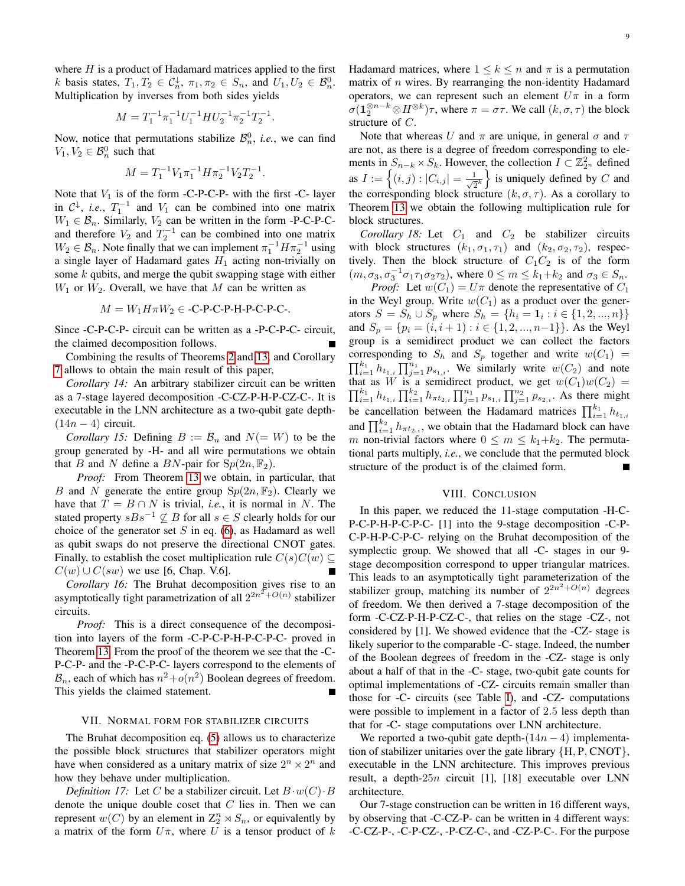where  $H$  is a product of Hadamard matrices applied to the first k basis states,  $T_1, T_2 \in C_n^{\downarrow}, \pi_1, \pi_2 \in S_n$ , and  $U_1, U_2 \in B_n^0$ . Multiplication by inverses from both sides yields

$$
M=T_1^{-1}\pi_1^{-1}U_1^{-1}HU_2^{-1}\pi_2^{-1}T_2^{-1}
$$

.

Now, notice that permutations stabilize  $\mathcal{B}_n^0$ , *i.e.*, we can find  $V_1, V_2 \in \mathcal{B}_n^0$  such that

$$
M = T_1^{-1} V_1 \pi_1^{-1} H \pi_2^{-1} V_2 T_2^{-1}.
$$

Note that  $V_1$  is of the form -C-P-C-P- with the first -C- layer in  $C^{\downarrow}$ , *i.e.*,  $T_1^{-1}$  and  $V_1$  can be combined into one matrix  $W_1 \in \mathcal{B}_n$ . Similarly,  $V_2$  can be written in the form -P-C-P-Cand therefore  $V_2$  and  $T_2^{-1}$  can be combined into one matrix  $W_2 \in \mathcal{B}_n$ . Note finally that we can implement  $\pi_1^{-1} H \pi_2^{-1}$  using a single layer of Hadamard gates  $H_1$  acting non-trivially on some  $k$  qubits, and merge the qubit swapping stage with either  $W_1$  or  $W_2$ . Overall, we have that M can be written as

$$
M = W_1 H \pi W_2 \in \text{-C-P-C-P-H-P-C-P-C-}.
$$

Since -C-P-C-P- circuit can be written as a -P-C-P-C- circuit, the claimed decomposition follows.

Combining the results of Theorems [2](#page-1-1) and [13,](#page-7-0) and Corollary [7](#page-4-1) allows to obtain the main result of this paper,

*Corollary 14:* An arbitrary stabilizer circuit can be written as a 7-stage layered decomposition -C-CZ-P-H-P-CZ-C-. It is executable in the LNN architecture as a two-qubit gate depth-  $(14n - 4)$  circuit.

*Corollary 15:* Defining  $B := B_n$  and  $N (= W)$  to be the group generated by -H- and all wire permutations we obtain that B and N define a BN-pair for  $Sp(2n, \mathbb{F}_2)$ .

*Proof:* From Theorem [13](#page-7-0) we obtain, in particular, that B and N generate the entire group  $Sp(2n, \mathbb{F}_2)$ . Clearly we have that  $T = B \cap N$  is trivial, *i.e.*, it is normal in N. The stated property  $sBs^{-1} \nsubseteq B$  for all  $s \in S$  clearly holds for our choice of the generator set  $S$  in eq. [\(6\)](#page-6-2), as Hadamard as well as qubit swaps do not preserve the directional CNOT gates. Finally, to establish the coset multiplication rule  $C(s)C(w)$  $C(w) \cup C(sw)$  we use [6, Chap. V.6].

*Corollary 16:* The Bruhat decomposition gives rise to an asymptotically tight parametrization of all  $2^{2n^2+O(n)}$  stabilizer circuits.

*Proof:* This is a direct consequence of the decomposition into layers of the form -C-P-C-P-H-P-C-P-C- proved in Theorem [13.](#page-7-0) From the proof of the theorem we see that the -C-P-C-P- and the -P-C-P-C- layers correspond to the elements of  $B_n$ , each of which has  $n^2+o(n^2)$  Boolean degrees of freedom. This yields the claimed statement.

## VII. NORMAL FORM FOR STABILIZER CIRCUITS

The Bruhat decomposition eq. [\(5\)](#page-5-3) allows us to characterize the possible block structures that stabilizer operators might have when considered as a unitary matrix of size  $2^n \times 2^n$  and how they behave under multiplication.

*Definition 17:* Let C be a stabilizer circuit. Let  $B \cdot w(C) \cdot B$ denote the unique double coset that  $C$  lies in. Then we can represent  $w(C)$  by an element in  $\mathbb{Z}_2^n \rtimes S_n$ , or equivalently by a matrix of the form  $U\pi$ , where U is a tensor product of k Hadamard matrices, where  $1 \leq k \leq n$  and  $\pi$  is a permutation matrix of  $n$  wires. By rearranging the non-identity Hadamard operators, we can represent such an element  $U\pi$  in a form  $\sigma(1_2^{\otimes n-k} \otimes H^{\otimes k})\tau$ , where  $\pi = \sigma\tau$ . We call  $(k, \sigma, \tau)$  the block structure of C.

Note that whereas U and  $\pi$  are unique, in general  $\sigma$  and  $\tau$ are not, as there is a degree of freedom corresponding to elements in  $S_{n-k} \times S_k$ . However, the collection  $I \subset \mathbb{Z}_{2^n}^2$  defined as  $I := \left\{ (i, j) : |C_{i,j}| = \frac{1}{\sqrt{2}^k} \right\}$  is uniquely defined by C and the corresponding block structure  $(k, \sigma, \tau)$ . As a corollary to Theorem [13](#page-7-0) we obtain the following multiplication rule for block structures.

*Corollary 18:* Let  $C_1$  and  $C_2$  be stabilizer circuits with block structures  $(k_1, \sigma_1, \tau_1)$  and  $(k_2, \sigma_2, \tau_2)$ , respectively. Then the block structure of  $C_1C_2$  is of the form  $(m, \sigma_3, \sigma_3^{-1}\sigma_1\tau_1\sigma_2\tau_2)$ , where  $0 \le m \le k_1+k_2$  and  $\sigma_3 \in S_n$ .

*Proof:* Let  $w(C_1) = U\pi$  denote the representative of  $C_1$ in the Weyl group. Write  $w(C_1)$  as a product over the generators  $S = S_h \cup S_p$  where  $S_h = \{h_i = \mathbf{1}_i : i \in \{1, 2, ..., n\}\}\$ and  $S_p = \{p_i = (i, i + 1) : i \in \{1, 2, ..., n-1\}\}\.$  As the Weyl group is a semidirect product we can collect the factors corresponding to  $S_h$  and  $S_p$  together and write  $w(C_1)$  =  $\prod_{i=1}^{k_1} h_{t_{1,i}} \prod_{j=1}^{n_1} p_{s_{1,i}}$ . We similarly write  $w(C_2)$  and note that as W is a semidirect product, we get  $w(C_1)w(C_2) =$  $\prod_{i=1}^{k_1} h_{t_{1,i}} \prod_{i=1}^{k_2} h_{\pi t_{2,i}} \prod_{j=1}^{n_1} p_{s_{1,i}} \prod_{j=1}^{n_2} p_{s_{2,i}}$ . As there might be cancellation between the Hadamard matrices  $\prod_{i=1}^{k_1} h_{t_1,i_2}$ and  $\prod_{i=1}^{k_2} h_{\pi t_{2,i}}$ , we obtain that the Hadamard block can have m non-trivial factors where  $0 \le m \le k_1+k_2$ . The permutational parts multiply, *i.e.*, we conclude that the permuted block structure of the product is of the claimed form.

### VIII. CONCLUSION

In this paper, we reduced the 11-stage computation -H-C-P-C-P-H-P-C-P-C- [1] into the 9-stage decomposition -C-P-C-P-H-P-C-P-C- relying on the Bruhat decomposition of the symplectic group. We showed that all -C- stages in our 9 stage decomposition correspond to upper triangular matrices. This leads to an asymptotically tight parameterization of the stabilizer group, matching its number of  $2^{2n^2+O(n)}$  degrees of freedom. We then derived a 7-stage decomposition of the form -C-CZ-P-H-P-CZ-C-, that relies on the stage -CZ-, not considered by [1]. We showed evidence that the -CZ- stage is likely superior to the comparable -C- stage. Indeed, the number of the Boolean degrees of freedom in the -CZ- stage is only about a half of that in the -C- stage, two-qubit gate counts for optimal implementations of -CZ- circuits remain smaller than those for -C- circuits (see Table [I\)](#page-2-1), and -CZ- computations were possible to implement in a factor of 2.5 less depth than that for -C- stage computations over LNN architecture.

We reported a two-qubit gate depth- $(14n - 4)$  implementation of stabilizer unitaries over the gate library  $\{H, P, CNOT\}$ , executable in the LNN architecture. This improves previous result, a depth-25n circuit [1], [18] executable over LNN architecture.

Our 7-stage construction can be written in 16 different ways, by observing that -C-CZ-P- can be written in 4 different ways: -C-CZ-P-, -C-P-CZ-, -P-CZ-C-, and -CZ-P-C-. For the purpose